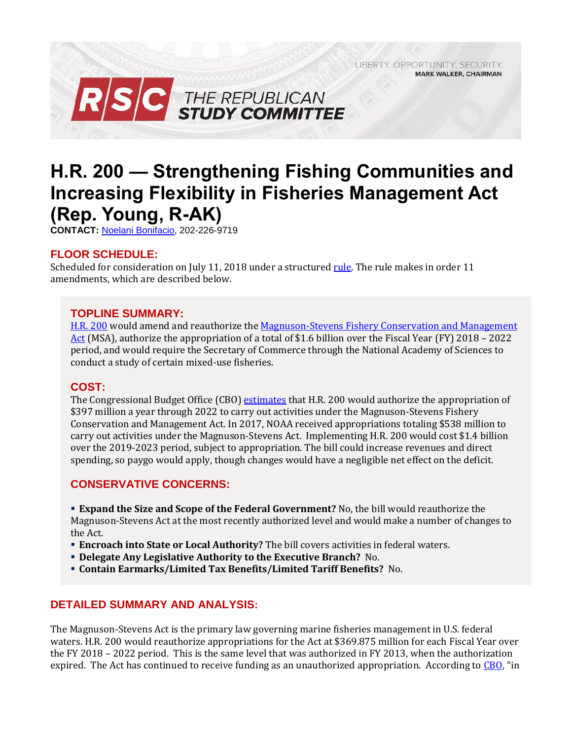LIBERTY. OPPORTUNITY. SECURITY. **MARK WALKER, CHAIRMAN** 



# **H.R. 200 — Strengthening Fishing Communities and Increasing Flexibility in Fisheries Management Act (Rep. Young, R-AK)**

**CONTACT:** [Noelani Bonifacio,](mailto:Noelani.Bonifacio@mail.house.gov) 202-226-9719

## **FLOOR SCHEDULE:**

Scheduled for consideration on July 11, 2018 under a structured [rule.](https://rules.house.gov/sites/republicans.rules.house.gov/files/Rule_HR200.pdf) The rule makes in order 11 amendments, which are described below.

### **TOPLINE SUMMARY:**

[H.R. 200](https://www.gpo.gov/fdsys/pkg/BILLS-115hr200rh/pdf/BILLS-115hr200rh.pdf) would amend and reauthorize the [Magnuson-Stevens Fishery Conservation and Management](https://www.gsmfc.org/pubs/GSMFC/MSA07.pdf)  [Act](https://www.gsmfc.org/pubs/GSMFC/MSA07.pdf) (MSA), authorize the appropriation of a total of \$1.6 billion over the Fiscal Year (FY) 2018 – 2022 period, and would require the Secretary of Commerce through the National Academy of Sciences to conduct a study of certain mixed-use fisheries.

#### **COST:**

The Congressional Budget Office (CBO) [estimates](https://www.cbo.gov/system/files?file=115th-congress-2017-2018/costestimate/hr200.pdf) that H.R. 200 would authorize the appropriation of \$397 million a year through 2022 to carry out activities under the Magnuson-Stevens Fishery Conservation and Management Act. In 2017, NOAA received appropriations totaling \$538 million to carry out activities under the Magnuson-Stevens Act. Implementing H.R. 200 would cost \$1.4 billion over the 2019-2023 period, subject to appropriation. The bill could increase revenues and direct spending, so paygo would apply, though changes would have a negligible net effect on the deficit.

## **CONSERVATIVE CONCERNS:**

**Expand the Size and Scope of the Federal Government?** No, the bill would reauthorize the

Magnuson-Stevens Act at the most recently authorized level and would make a number of changes to the Act.

- **Encroach into State or Local Authority?** The bill covers activities in federal waters.
- **Delegate Any Legislative Authority to the Executive Branch?** No.
- **Contain Earmarks/Limited Tax Benefits/Limited Tariff Benefits?** No.

## **DETAILED SUMMARY AND ANALYSIS:**

The Magnuson-Stevens Act is the primary law governing marine fisheries management in U.S. federal waters. H.R. 200 would reauthorize appropriations for the Act at \$369.875 million for each Fiscal Year over the FY 2018 – 2022 period. This is the same level that was authorized in FY 2013, when the authorization expired. The Act has continued to receive funding as an unauthorized appropriation. According to [CBO](https://www.cbo.gov/system/files?file=115th-congress-2017-2018/costestimate/hr200.pdf), "in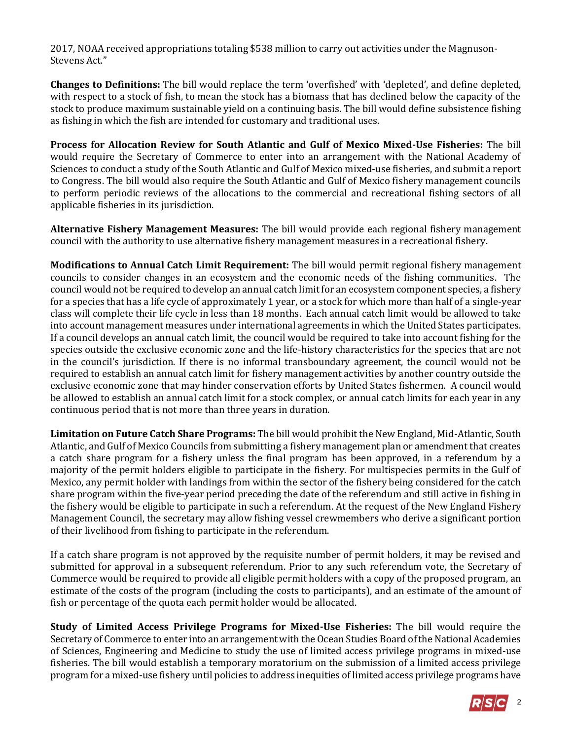2017, NOAA received appropriations totaling \$538 million to carry out activities under the Magnuson-Stevens Act."

**Changes to Definitions:** The bill would replace the term 'overfished' with 'depleted', and define depleted, with respect to a stock of fish, to mean the stock has a biomass that has declined below the capacity of the stock to produce maximum sustainable yield on a continuing basis. The bill would define subsistence fishing as fishing in which the fish are intended for customary and traditional uses.

**Process for Allocation Review for South Atlantic and Gulf of Mexico Mixed-Use Fisheries:** The bill would require the Secretary of Commerce to enter into an arrangement with the National Academy of Sciences to conduct a study of the South Atlantic and Gulf of Mexico mixed-use fisheries, and submit a report to Congress. The bill would also require the South Atlantic and Gulf of Mexico fishery management councils to perform periodic reviews of the allocations to the commercial and recreational fishing sectors of all applicable fisheries in its jurisdiction.

**Alternative Fishery Management Measures:** The bill would provide each regional fishery management council with the authority to use alternative fishery management measures in a recreational fishery.

**Modifications to Annual Catch Limit Requirement:** The bill would permit regional fishery management councils to consider changes in an ecosystem and the economic needs of the fishing communities. The council would not be required to develop an annual catch limit for an ecosystem component species, a fishery for a species that has a life cycle of approximately 1 year, or a stock for which more than half of a single-year class will complete their life cycle in less than 18 months. Each annual catch limit would be allowed to take into account management measures under international agreements in which the United States participates. If a council develops an annual catch limit, the council would be required to take into account fishing for the species outside the exclusive economic zone and the life-history characteristics for the species that are not in the council's jurisdiction. If there is no informal transboundary agreement, the council would not be required to establish an annual catch limit for fishery management activities by another country outside the exclusive economic zone that may hinder conservation efforts by United States fishermen. A council would be allowed to establish an annual catch limit for a stock complex, or annual catch limits for each year in any continuous period that is not more than three years in duration.

**Limitation on Future Catch Share Programs:** The bill would prohibit the New England, Mid-Atlantic, South Atlantic, and Gulf of Mexico Councils from submitting a fishery management plan or amendment that creates a catch share program for a fishery unless the final program has been approved, in a referendum by a majority of the permit holders eligible to participate in the fishery. For multispecies permits in the Gulf of Mexico, any permit holder with landings from within the sector of the fishery being considered for the catch share program within the five-year period preceding the date of the referendum and still active in fishing in the fishery would be eligible to participate in such a referendum. At the request of the New England Fishery Management Council, the secretary may allow fishing vessel crewmembers who derive a significant portion of their livelihood from fishing to participate in the referendum.

If a catch share program is not approved by the requisite number of permit holders, it may be revised and submitted for approval in a subsequent referendum. Prior to any such referendum vote, the Secretary of Commerce would be required to provide all eligible permit holders with a copy of the proposed program, an estimate of the costs of the program (including the costs to participants), and an estimate of the amount of fish or percentage of the quota each permit holder would be allocated.

**Study of Limited Access Privilege Programs for Mixed-Use Fisheries:** The bill would require the Secretary of Commerce to enter into an arrangement with the Ocean Studies Board of the National Academies of Sciences, Engineering and Medicine to study the use of limited access privilege programs in mixed-use fisheries. The bill would establish a temporary moratorium on the submission of a limited access privilege program for a mixed-use fishery until policies to address inequities of limited access privilege programs have

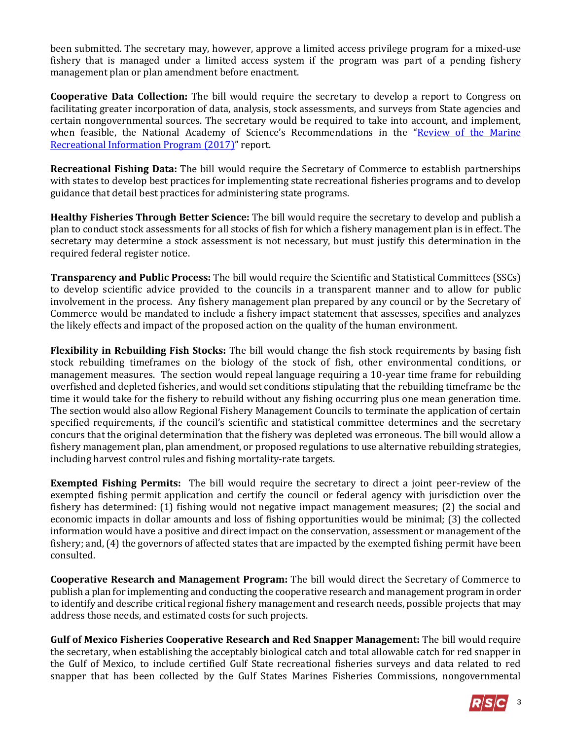been submitted. The secretary may, however, approve a limited access privilege program for a mixed-use fishery that is managed under a limited access system if the program was part of a pending fishery management plan or plan amendment before enactment.

**Cooperative Data Collection:** The bill would require the secretary to develop a report to Congress on facilitating greater incorporation of data, analysis, stock assessments, and surveys from State agencies and certain nongovernmental sources. The secretary would be required to take into account, and implement, when feasible, the National Academy of Science's Recommendations in the "Review of the Marine" [Recreational Information Program \(2017\)](http://dels.nas.edu/Report/Review-Marine-Recreational-Information/24640)" report.

**Recreational Fishing Data:** The bill would require the Secretary of Commerce to establish partnerships with states to develop best practices for implementing state recreational fisheries programs and to develop guidance that detail best practices for administering state programs.

**Healthy Fisheries Through Better Science:** The bill would require the secretary to develop and publish a plan to conduct stock assessments for all stocks of fish for which a fishery management plan is in effect. The secretary may determine a stock assessment is not necessary, but must justify this determination in the required federal register notice.

**Transparency and Public Process:** The bill would require the Scientific and Statistical Committees (SSCs) to develop scientific advice provided to the councils in a transparent manner and to allow for public involvement in the process. Any fishery management plan prepared by any council or by the Secretary of Commerce would be mandated to include a fishery impact statement that assesses, specifies and analyzes the likely effects and impact of the proposed action on the quality of the human environment.

**Flexibility in Rebuilding Fish Stocks:** The bill would change the fish stock requirements by basing fish stock rebuilding timeframes on the biology of the stock of fish, other environmental conditions, or management measures. The section would repeal language requiring a 10-year time frame for rebuilding overfished and depleted fisheries, and would set conditions stipulating that the rebuilding timeframe be the time it would take for the fishery to rebuild without any fishing occurring plus one mean generation time. The section would also allow Regional Fishery Management Councils to terminate the application of certain specified requirements, if the council's scientific and statistical committee determines and the secretary concurs that the original determination that the fishery was depleted was erroneous. The bill would allow a fishery management plan, plan amendment, or proposed regulations to use alternative rebuilding strategies, including harvest control rules and fishing mortality-rate targets.

**Exempted Fishing Permits:** The bill would require the secretary to direct a joint peer-review of the exempted fishing permit application and certify the council or federal agency with jurisdiction over the fishery has determined: (1) fishing would not negative impact management measures; (2) the social and economic impacts in dollar amounts and loss of fishing opportunities would be minimal; (3) the collected information would have a positive and direct impact on the conservation, assessment or management of the fishery; and, (4) the governors of affected states that are impacted by the exempted fishing permit have been consulted.

**Cooperative Research and Management Program:** The bill would direct the Secretary of Commerce to publish a plan for implementing and conducting the cooperative research and management program in order to identify and describe critical regional fishery management and research needs, possible projects that may address those needs, and estimated costs for such projects.

**Gulf of Mexico Fisheries Cooperative Research and Red Snapper Management:** The bill would require the secretary, when establishing the acceptably biological catch and total allowable catch for red snapper in the Gulf of Mexico, to include certified Gulf State recreational fisheries surveys and data related to red snapper that has been collected by the Gulf States Marines Fisheries Commissions, nongovernmental

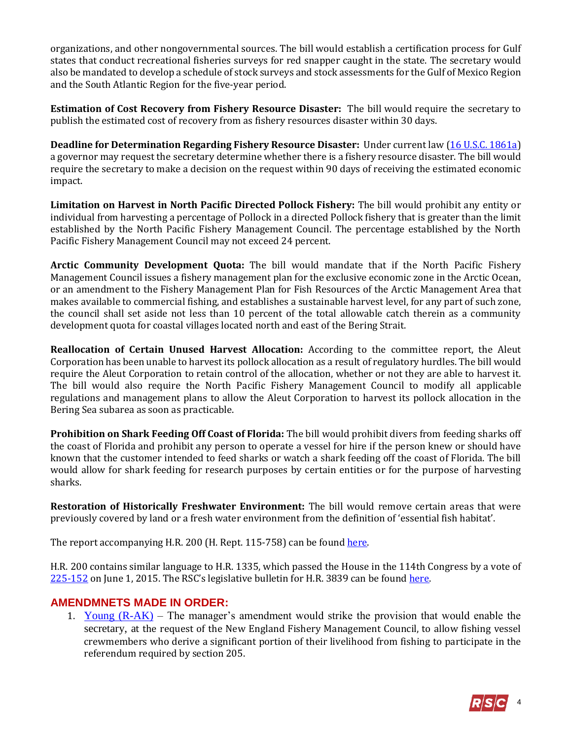organizations, and other nongovernmental sources. The bill would establish a certification process for Gulf states that conduct recreational fisheries surveys for red snapper caught in the state. The secretary would also be mandated to develop a schedule of stock surveys and stock assessments for the Gulf of Mexico Region and the South Atlantic Region for the five-year period.

**Estimation of Cost Recovery from Fishery Resource Disaster:** The bill would require the secretary to publish the estimated cost of recovery from as fishery resources disaster within 30 days.

**Deadline for Determination Regarding Fishery Resource Disaster:** Under current law [\(16 U.S.C. 1861a\)](http://uscode.house.gov/view.xhtml?req=(title:16%20section:1861a%20edition:prelim)%20OR%20(granuleid:USC-prelim-title16-section1861a)&f=treesort&edition=prelim&num=0&jumpTo=true) a governor may request the secretary determine whether there is a fishery resource disaster. The bill would require the secretary to make a decision on the request within 90 days of receiving the estimated economic impact.

**Limitation on Harvest in North Pacific Directed Pollock Fishery:** The bill would prohibit any entity or individual from harvesting a percentage of Pollock in a directed Pollock fishery that is greater than the limit established by the North Pacific Fishery Management Council. The percentage established by the North Pacific Fishery Management Council may not exceed 24 percent.

**Arctic Community Development Quota:** The bill would mandate that if the North Pacific Fishery Management Council issues a fishery management plan for the exclusive economic zone in the Arctic Ocean, or an amendment to the Fishery Management Plan for Fish Resources of the Arctic Management Area that makes available to commercial fishing, and establishes a sustainable harvest level, for any part of such zone, the council shall set aside not less than 10 percent of the total allowable catch therein as a community development quota for coastal villages located north and east of the Bering Strait.

**Reallocation of Certain Unused Harvest Allocation:** According to the committee report, the Aleut Corporation has been unable to harvest its pollock allocation as a result of regulatory hurdles. The bill would require the Aleut Corporation to retain control of the allocation, whether or not they are able to harvest it. The bill would also require the North Pacific Fishery Management Council to modify all applicable regulations and management plans to allow the Aleut Corporation to harvest its pollock allocation in the Bering Sea subarea as soon as practicable.

**Prohibition on Shark Feeding Off Coast of Florida:** The bill would prohibit divers from feeding sharks off the coast of Florida and prohibit any person to operate a vessel for hire if the person knew or should have known that the customer intended to feed sharks or watch a shark feeding off the coast of Florida. The bill would allow for shark feeding for research purposes by certain entities or for the purpose of harvesting sharks.

**Restoration of Historically Freshwater Environment:** The bill would remove certain areas that were previously covered by land or a fresh water environment from the definition of 'essential fish habitat'.

The report accompanying H.R. 200 (H. Rept. 115-758) can be foun[d here.](https://www.gpo.gov/fdsys/pkg/CRPT-115hrpt758/pdf/CRPT-115hrpt758.pdf)

H.R. 200 contains similar language to H.R. 1335, which passed the House in the 114th Congress by a vote of [225-152](http://clerk.house.gov/evs/2015/roll267.xml) on June 1, 2015. The RSC's legislative bulletin for H.R. 3839 can be found [here.](https://rsc-walker.house.gov/sites/republicanstudycommittee.house.gov/files/2015LB/Legislative_Bulletin_--_HR_1335_--_June_1_2015.pdf)

## **AMENDMNETS MADE IN ORDER:**

1. Young  $(R-AK)$  – The manager's amendment would strike the provision that would enable the secretary, at the request of the New England Fishery Management Council, to allow fishing vessel crewmembers who derive a significant portion of their livelihood from fishing to participate in the referendum required by section 205.

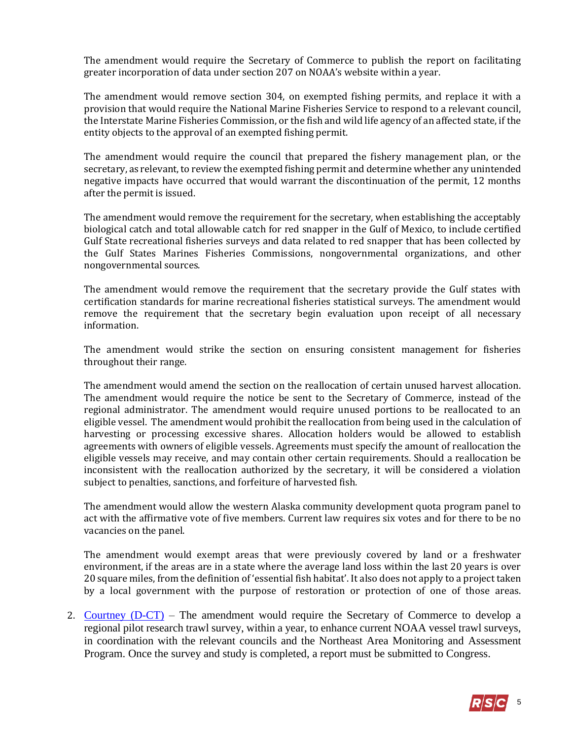The amendment would require the Secretary of Commerce to publish the report on facilitating greater incorporation of data under section 207 on NOAA's website within a year.

The amendment would remove section 304, on exempted fishing permits, and replace it with a provision that would require the National Marine Fisheries Service to respond to a relevant council, the Interstate Marine Fisheries Commission, or the fish and wild life agency of an affected state, if the entity objects to the approval of an exempted fishing permit.

The amendment would require the council that prepared the fishery management plan, or the secretary, as relevant, to review the exempted fishing permit and determine whether any unintended negative impacts have occurred that would warrant the discontinuation of the permit, 12 months after the permit is issued.

The amendment would remove the requirement for the secretary, when establishing the acceptably biological catch and total allowable catch for red snapper in the Gulf of Mexico, to include certified Gulf State recreational fisheries surveys and data related to red snapper that has been collected by the Gulf States Marines Fisheries Commissions, nongovernmental organizations, and other nongovernmental sources.

The amendment would remove the requirement that the secretary provide the Gulf states with certification standards for marine recreational fisheries statistical surveys. The amendment would remove the requirement that the secretary begin evaluation upon receipt of all necessary information.

The amendment would strike the section on ensuring consistent management for fisheries throughout their range.

The amendment would amend the section on the reallocation of certain unused harvest allocation. The amendment would require the notice be sent to the Secretary of Commerce, instead of the regional administrator. The amendment would require unused portions to be reallocated to an eligible vessel. The amendment would prohibit the reallocation from being used in the calculation of harvesting or processing excessive shares. Allocation holders would be allowed to establish agreements with owners of eligible vessels. Agreements must specify the amount of reallocation the eligible vessels may receive, and may contain other certain requirements. Should a reallocation be inconsistent with the reallocation authorized by the secretary, it will be considered a violation subject to penalties, sanctions, and forfeiture of harvested fish.

The amendment would allow the western Alaska community development quota program panel to act with the affirmative vote of five members. Current law requires six votes and for there to be no vacancies on the panel.

The amendment would exempt areas that were previously covered by land or a freshwater environment, if the areas are in a state where the average land loss within the last 20 years is over 20 square miles, from the definition of 'essential fish habitat'. It also does not apply to a project taken by a local government with the purpose of restoration or protection of one of those areas.

2. [Courtney](https://amendments-rules.house.gov/amendments/TrawlSurveyAmdt625180917501750.pdf)  $(D-CT)$  – The amendment would require the Secretary of Commerce to develop a regional pilot research trawl survey, within a year, to enhance current NOAA vessel trawl surveys, in coordination with the relevant councils and the Northeast Area Monitoring and Assessment Program. Once the survey and study is completed, a report must be submitted to Congress.

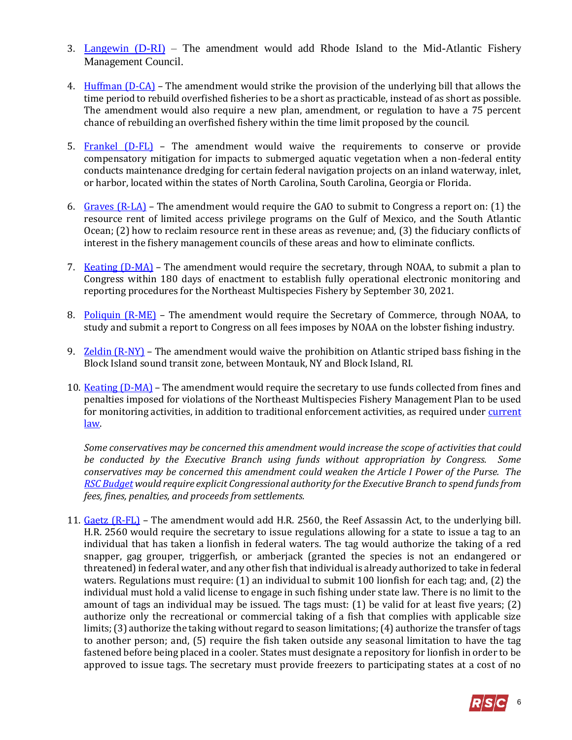- 3. [Langewin \(D-RI\)](https://amendments-rules.house.gov/amendments/LANGEV_103_xml62218170021021.pdf) The amendment would add Rhode Island to the Mid-Atlantic Fishery Management Council.
- 4. Huffman  $(D CA)$  The amendment would strike the provision of the underlying bill that allows the time period to rebuild overfished fisheries to be a short as practicable, instead of as short as possible. The amendment would also require a new plan, amendment, or regulation to have a 75 percent chance of rebuilding an overfished fishery within the time limit proposed by the council.
- 5. [Frankel \(D-FL\)](https://amendments-rules.house.gov/amendments/FRANLO_053_xml62518170057057.pdf) The amendment would waive the requirements to conserve or provide compensatory mitigation for impacts to submerged aquatic vegetation when a non-federal entity conducts maintenance dredging for certain federal navigation projects on an inland waterway, inlet, or harbor, located within the states of North Carolina, South Carolina, Georgia or Florida.
- 6. [Graves \(R-LA\)](https://amendments-rules.house.gov/amendments/GRAVLA_139_xml62518141009109.pdf) The amendment would require the GAO to submit to Congress a report on: (1) the resource rent of limited access privilege programs on the Gulf of Mexico, and the South Atlantic Ocean; (2) how to reclaim resource rent in these areas as revenue; and, (3) the fiduciary conflicts of interest in the fishery management councils of these areas and how to eliminate conflicts.
- 7. [Keating \(D-MA\)](https://amendments-rules.house.gov/amendments/KEATIN_099_xml62518090831831.pdf) The amendment would require the secretary, through NOAA, to submit a plan to Congress within 180 days of enactment to establish fully operational electronic monitoring and reporting procedures for the Northeast Multispecies Fishery by September 30, 2021.
- 8. [Poliquin \(R-ME\)](https://amendments-rules.house.gov/amendments/POLIQU_048_xml%5B2%5D625180916191619.pdf) The amendment would require the Secretary of Commerce, through NOAA, to study and submit a report to Congress on all fees imposes by NOAA on the lobster fishing industry.
- 9. [Zeldin \(R-NY\)](https://amendments-rules.house.gov/amendments/ZELDIN_064_xml625180941214121.pdf) The amendment would waive the prohibition on Atlantic striped bass fishing in the Block Island sound transit zone, between Montauk, NY and Block Island, RI.
- 10. [Keating \(D-MA\)](https://amendments-rules.house.gov/amendments/KEATIN_098_xml62518090539539.pdf) The amendment would require the secretary to use funds collected from fines and penalties imposed for violations of the Northeast Multispecies Fishery Management Plan to be used for monitoring activities, in addition to traditional enforcement activities, as required under current [law.](http://uscode.house.gov/view.xhtml?req=(title:16%20section:1861%20edition:prelim)%20OR%20(granuleid:USC-prelim-title16-section1861)&f=treesort&edition=prelim&num=0&jumpTo=true#substructure-location_f_4)

*Some conservatives may be concerned this amendment would increase the scope of activities that could be conducted by the Executive Branch using funds without appropriation by Congress. Some conservatives may be concerned this amendment could weaken the Article I Power of the Purse. The [RSC Budget](https://rsc-walker.house.gov/sites/republicanstudycommittee.house.gov/files/wysiwyg_uploaded/RSC%20Budget%20FY2019%20-%20Narrative%20-%20FINAL.PDF#page=154) would require explicit Congressional authority for the Executive Branch to spend funds from fees, fines, penalties, and proceeds from settlements.* 

11. [Gaetz \(R-FL\)](https://amendments-rules.house.gov/amendments/HR%20200%20Amndmt62518104401441.pdf.) – The amendment would add H.R. 2560, the Reef Assassin Act, to the underlying bill. H.R. 2560 would require the secretary to issue regulations allowing for a state to issue a tag to an individual that has taken a lionfish in federal waters. The tag would authorize the taking of a red snapper, gag grouper, triggerfish, or amberjack (granted the species is not an endangered or threatened) in federal water, and any other fish that individual is already authorized to take in federal waters. Regulations must require: (1) an individual to submit 100 lionfish for each tag; and, (2) the individual must hold a valid license to engage in such fishing under state law. There is no limit to the amount of tags an individual may be issued. The tags must: (1) be valid for at least five years; (2) authorize only the recreational or commercial taking of a fish that complies with applicable size limits; (3) authorize the taking without regard to season limitations; (4) authorize the transfer of tags to another person; and, (5) require the fish taken outside any seasonal limitation to have the tag fastened before being placed in a cooler. States must designate a repository for lionfish in order to be approved to issue tags. The secretary must provide freezers to participating states at a cost of no